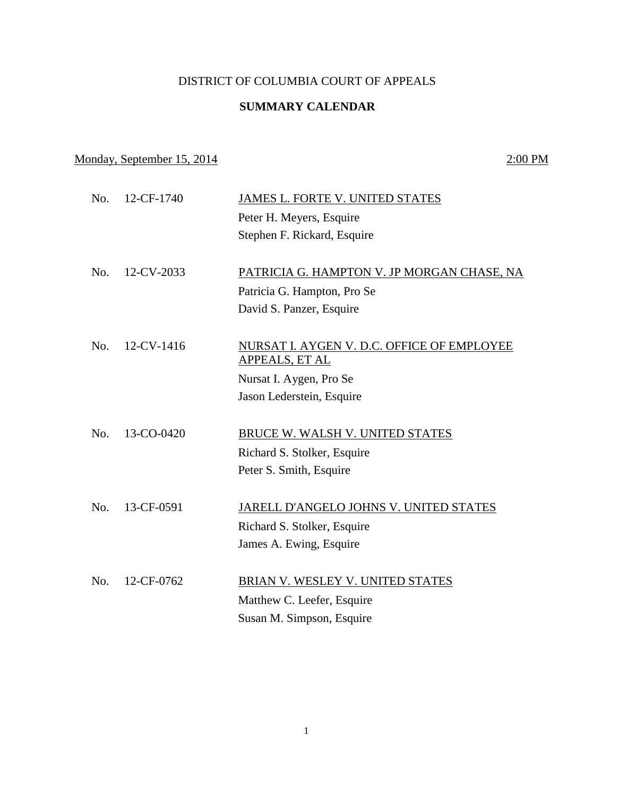## DISTRICT OF COLUMBIA COURT OF APPEALS

## **SUMMARY CALENDAR**

## Monday, September 15, 2014 2:00 PM

| No. | 12-CF-1740 | JAMES L. FORTE V. UNITED STATES            |
|-----|------------|--------------------------------------------|
|     |            | Peter H. Meyers, Esquire                   |
|     |            | Stephen F. Rickard, Esquire                |
|     |            |                                            |
| No. | 12-CV-2033 | PATRICIA G. HAMPTON V. JP MORGAN CHASE, NA |
|     |            | Patricia G. Hampton, Pro Se                |
|     |            | David S. Panzer, Esquire                   |
|     |            |                                            |
| No. | 12-CV-1416 | NURSAT I. AYGEN V. D.C. OFFICE OF EMPLOYEE |
|     |            | APPEALS, ET AL                             |
|     |            | Nursat I. Aygen, Pro Se                    |
|     |            | Jason Lederstein, Esquire                  |
|     |            |                                            |
| No. | 13-CO-0420 | BRUCE W. WALSH V. UNITED STATES            |
|     |            | Richard S. Stolker, Esquire                |
|     |            | Peter S. Smith, Esquire                    |
|     |            |                                            |
| No. | 13-CF-0591 | JARELL D'ANGELO JOHNS V. UNITED STATES     |
|     |            | Richard S. Stolker, Esquire                |
|     |            | James A. Ewing, Esquire                    |
|     |            |                                            |
| No. | 12-CF-0762 | BRIAN V. WESLEY V. UNITED STATES           |
|     |            | Matthew C. Leefer, Esquire                 |
|     |            | Susan M. Simpson, Esquire                  |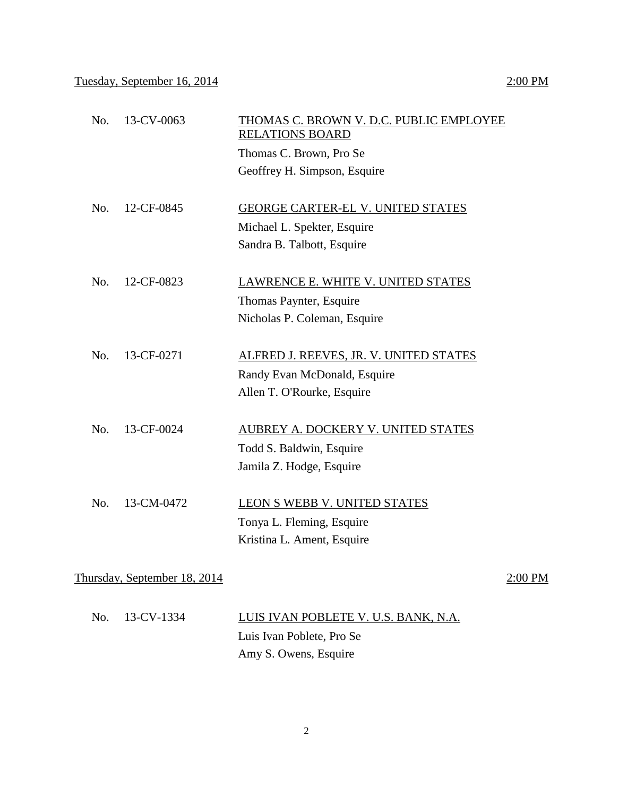| No. | 13-CV-0063                   | THOMAS C. BROWN V. D.C. PUBLIC EMPLOYEE<br><b>RELATIONS BOARD</b> |         |
|-----|------------------------------|-------------------------------------------------------------------|---------|
|     |                              | Thomas C. Brown, Pro Se                                           |         |
|     |                              | Geoffrey H. Simpson, Esquire                                      |         |
|     |                              |                                                                   |         |
| No. | 12-CF-0845                   | <b>GEORGE CARTER-EL V. UNITED STATES</b>                          |         |
|     |                              | Michael L. Spekter, Esquire                                       |         |
|     |                              | Sandra B. Talbott, Esquire                                        |         |
|     |                              |                                                                   |         |
| No. | 12-CF-0823                   | LAWRENCE E. WHITE V. UNITED STATES                                |         |
|     |                              | Thomas Paynter, Esquire                                           |         |
|     |                              | Nicholas P. Coleman, Esquire                                      |         |
|     |                              |                                                                   |         |
| No. | 13-CF-0271                   | ALFRED J. REEVES, JR. V. UNITED STATES                            |         |
|     |                              | Randy Evan McDonald, Esquire                                      |         |
|     |                              | Allen T. O'Rourke, Esquire                                        |         |
|     |                              |                                                                   |         |
| No. | 13-CF-0024                   | AUBREY A. DOCKERY V. UNITED STATES                                |         |
|     |                              | Todd S. Baldwin, Esquire                                          |         |
|     |                              | Jamila Z. Hodge, Esquire                                          |         |
|     |                              |                                                                   |         |
| No. | 13-CM-0472                   | LEON S WEBB V. UNITED STATES                                      |         |
|     |                              | Tonya L. Fleming, Esquire                                         |         |
|     |                              | Kristina L. Ament, Esquire                                        |         |
|     |                              |                                                                   |         |
|     | Thursday, September 18, 2014 |                                                                   | 2:00 PM |

| No. 13-CV-1334 | LUIS IVAN POBLETE V. U.S. BANK, N.A. |
|----------------|--------------------------------------|
|                | Luis Ivan Poblete, Pro Se            |
|                | Amy S. Owens, Esquire                |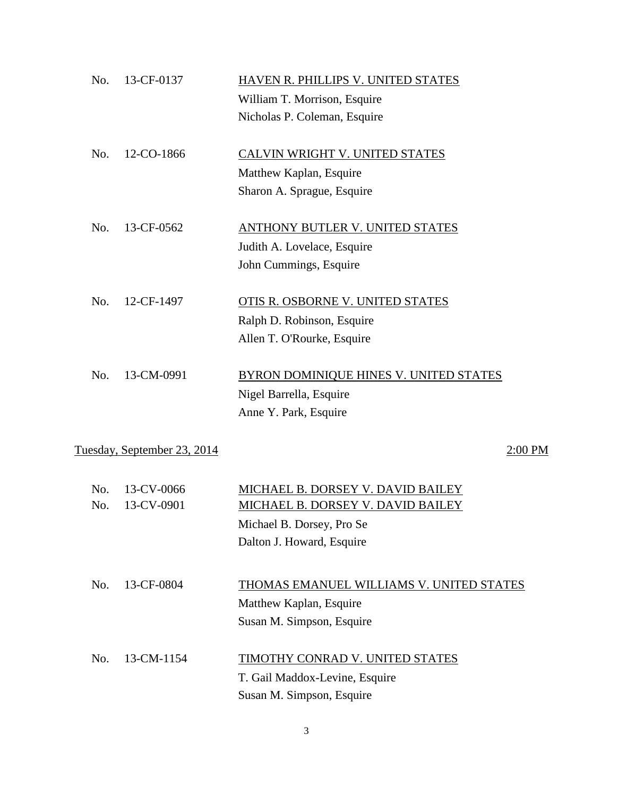| No. | 13-CF-0137                  | HAVEN R. PHILLIPS V. UNITED STATES<br>William T. Morrison, Esquire |           |
|-----|-----------------------------|--------------------------------------------------------------------|-----------|
|     |                             | Nicholas P. Coleman, Esquire                                       |           |
| No. | 12-CO-1866                  | CALVIN WRIGHT V. UNITED STATES                                     |           |
|     |                             | Matthew Kaplan, Esquire                                            |           |
|     |                             | Sharon A. Sprague, Esquire                                         |           |
| No. | 13-CF-0562                  | ANTHONY BUTLER V. UNITED STATES                                    |           |
|     |                             | Judith A. Lovelace, Esquire                                        |           |
|     |                             | John Cummings, Esquire                                             |           |
| No. | 12-CF-1497                  | OTIS R. OSBORNE V. UNITED STATES                                   |           |
|     |                             | Ralph D. Robinson, Esquire                                         |           |
|     |                             | Allen T. O'Rourke, Esquire                                         |           |
| No. | 13-CM-0991                  | BYRON DOMINIQUE HINES V. UNITED STATES                             |           |
|     |                             | Nigel Barrella, Esquire                                            |           |
|     |                             | Anne Y. Park, Esquire                                              |           |
|     | Tuesday, September 23, 2014 |                                                                    | $2:00$ PM |
| No. | 13-CV-0066                  | MICHAEL B. DORSEY V. DAVID BAILEY                                  |           |
| No. | 13-CV-0901                  | MICHAEL B. DORSEY V. DAVID BAILEY                                  |           |
|     |                             | Michael B. Dorsey, Pro Se                                          |           |
|     |                             | Dalton J. Howard, Esquire                                          |           |
| No. | 13-CF-0804                  | <b>THOMAS EMANUEL WILLIAMS V. UNITED STATES</b>                    |           |
|     |                             | Matthew Kaplan, Esquire                                            |           |
|     |                             | Susan M. Simpson, Esquire                                          |           |
| No. | 13-CM-1154                  | <b>TIMOTHY CONRAD V. UNITED STATES</b>                             |           |
|     |                             | T. Gail Maddox-Levine, Esquire                                     |           |
|     |                             | Susan M. Simpson, Esquire                                          |           |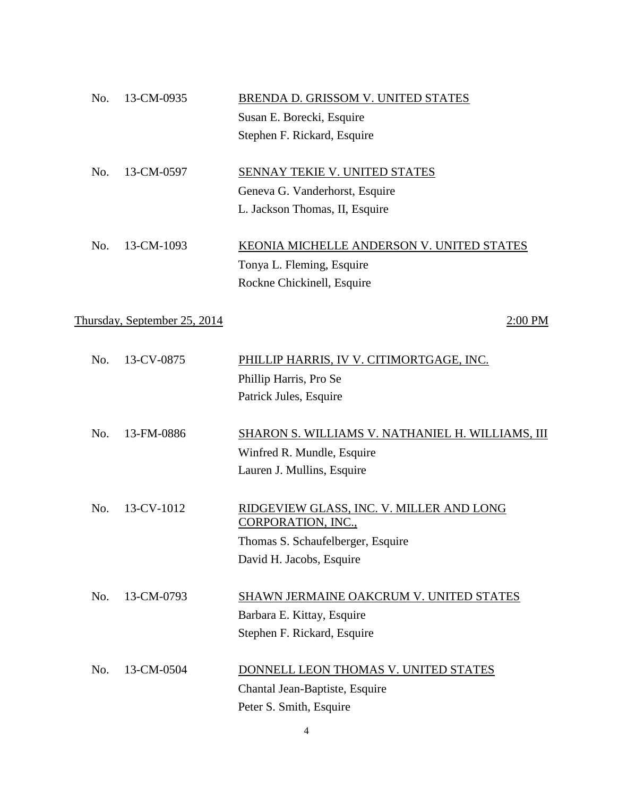| 13-CM-0935<br>No.            | BRENDA D. GRISSOM V. UNITED STATES                             |
|------------------------------|----------------------------------------------------------------|
|                              | Susan E. Borecki, Esquire                                      |
|                              | Stephen F. Rickard, Esquire                                    |
| 13-CM-0597<br>No.            | SENNAY TEKIE V. UNITED STATES                                  |
|                              | Geneva G. Vanderhorst, Esquire                                 |
|                              | L. Jackson Thomas, II, Esquire                                 |
| 13-CM-1093<br>No.            | KEONIA MICHELLE ANDERSON V. UNITED STATES                      |
|                              | Tonya L. Fleming, Esquire                                      |
|                              | Rockne Chickinell, Esquire                                     |
| Thursday, September 25, 2014 | 2:00 PM                                                        |
|                              | PHILLIP HARRIS, IV V. CITIMORTGAGE, INC.                       |
|                              | Phillip Harris, Pro Se                                         |
|                              | Patrick Jules, Esquire                                         |
| 13-FM-0886<br>No.            | SHARON S. WILLIAMS V. NATHANIEL H. WILLIAMS, III               |
|                              | Winfred R. Mundle, Esquire                                     |
|                              | Lauren J. Mullins, Esquire                                     |
| 13-CV-1012<br>No.            | RIDGEVIEW GLASS, INC. V. MILLER AND LONG<br>CORPORATION, INC., |
|                              | Thomas S. Schaufelberger, Esquire                              |
|                              | David H. Jacobs, Esquire                                       |
| No.<br>13-CM-0793            | SHAWN JERMAINE OAKCRUM V. UNITED STATES                        |
|                              | Barbara E. Kittay, Esquire                                     |
|                              |                                                                |
|                              | Stephen F. Rickard, Esquire                                    |
| No.<br>13-CM-0504            | DONNELL LEON THOMAS V. UNITED STATES                           |
|                              | Chantal Jean-Baptiste, Esquire                                 |
|                              | 13-CV-0875<br>No.                                              |

4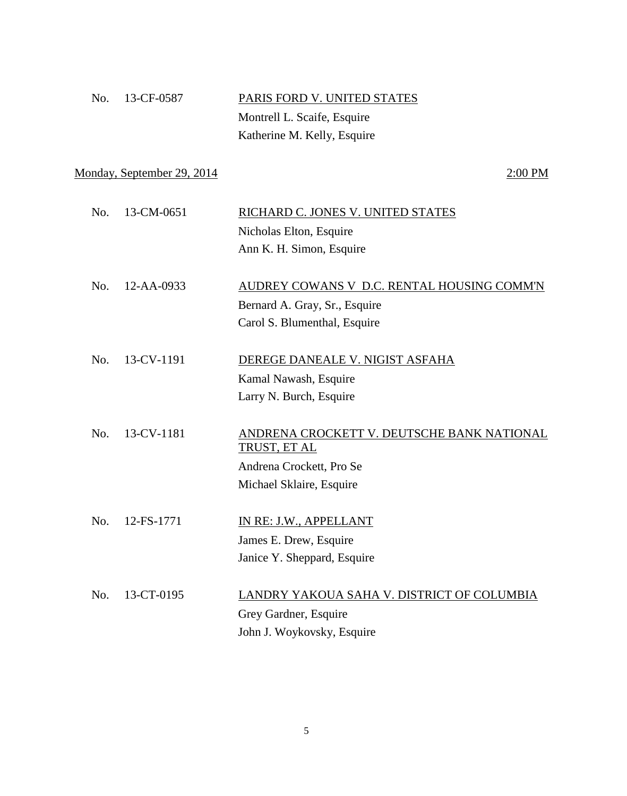| No. 13-CF-0587 | PARIS FORD V. UNITED STATES |
|----------------|-----------------------------|
|                | Montrell L. Scaife, Esquire |
|                | Katherine M. Kelly, Esquire |

Monday, September 29, 2014 2:00 PM

| No. | 13-CM-0651 | RICHARD C. JONES V. UNITED STATES          |
|-----|------------|--------------------------------------------|
|     |            | Nicholas Elton, Esquire                    |
|     |            | Ann K. H. Simon, Esquire                   |
|     |            |                                            |
| No. | 12-AA-0933 | AUDREY COWANS V D.C. RENTAL HOUSING COMM'N |
|     |            | Bernard A. Gray, Sr., Esquire              |
|     |            | Carol S. Blumenthal, Esquire               |
|     |            |                                            |
| No. | 13-CV-1191 | DEREGE DANEALE V. NIGIST ASFAHA            |
|     |            | Kamal Nawash, Esquire                      |
|     |            | Larry N. Burch, Esquire                    |
|     |            |                                            |
| No. | 13-CV-1181 | ANDRENA CROCKETT V. DEUTSCHE BANK NATIONAL |
|     |            | TRUST, ET AL                               |
|     |            | Andrena Crockett, Pro Se                   |
|     |            | Michael Sklaire, Esquire                   |
|     |            |                                            |
| No. | 12-FS-1771 | IN RE: J.W., APPELLANT                     |
|     |            | James E. Drew, Esquire                     |
|     |            | Janice Y. Sheppard, Esquire                |
|     |            |                                            |
| No. | 13-CT-0195 | LANDRY YAKOUA SAHA V. DISTRICT OF COLUMBIA |
|     |            | Grey Gardner, Esquire                      |
|     |            | John J. Woykovsky, Esquire                 |